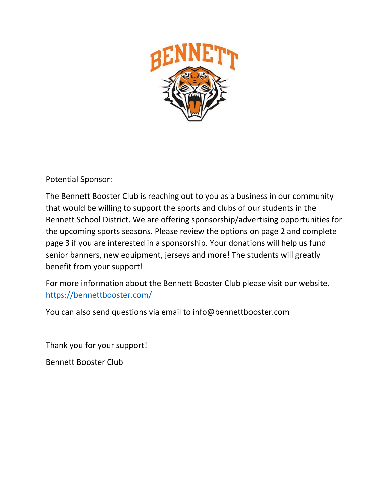

Potential Sponsor:

The Bennett Booster Club is reaching out to you as a business in our community that would be willing to support the sports and clubs of our students in the Bennett School District. We are offering sponsorship/advertising opportunities for the upcoming sports seasons. Please review the options on page 2 and complete page 3 if you are interested in a sponsorship. Your donations will help us fund senior banners, new equipment, jerseys and more! The students will greatly benefit from your support!

For more information about the Bennett Booster Club please visit our website. https://bennettbooster.com/

You can also send questions via email to info@bennettbooster.com

Thank you for your support!

Bennett Booster Club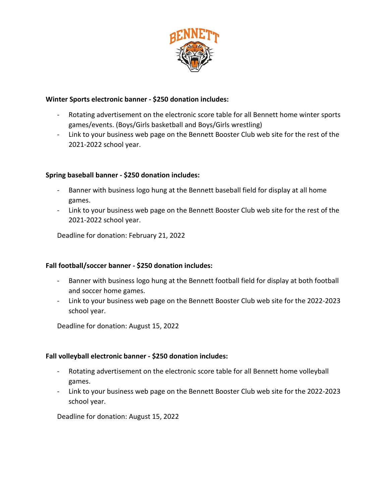

## **Winter Sports electronic banner - \$250 donation includes:**

- Rotating advertisement on the electronic score table for all Bennett home winter sports games/events. (Boys/Girls basketball and Boys/Girls wrestling)
- Link to your business web page on the Bennett Booster Club web site for the rest of the 2021-2022 school year.

#### **Spring baseball banner - \$250 donation includes:**

- Banner with business logo hung at the Bennett baseball field for display at all home games.
- Link to your business web page on the Bennett Booster Club web site for the rest of the 2021-2022 school year.

Deadline for donation: February 21, 2022

## **Fall football/soccer banner - \$250 donation includes:**

- Banner with business logo hung at the Bennett football field for display at both football and soccer home games.
- Link to your business web page on the Bennett Booster Club web site for the 2022-2023 school year.

Deadline for donation: August 15, 2022

#### **Fall volleyball electronic banner - \$250 donation includes:**

- Rotating advertisement on the electronic score table for all Bennett home volleyball games.
- Link to your business web page on the Bennett Booster Club web site for the 2022-2023 school year.

Deadline for donation: August 15, 2022